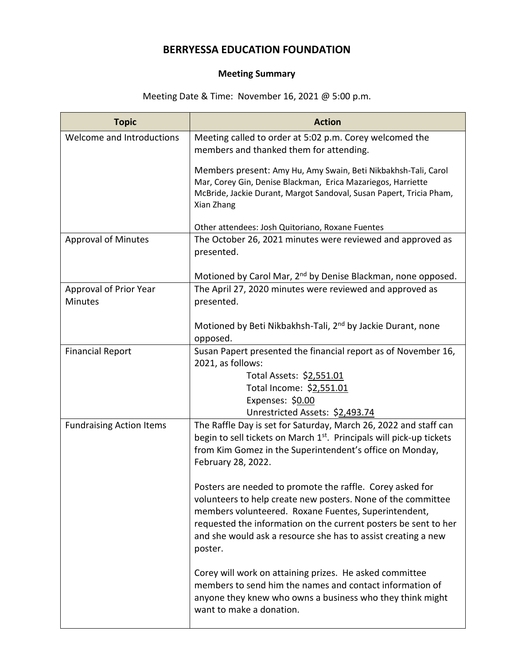## **BERRYESSA EDUCATION FOUNDATION**

## **Meeting Summary**

## Meeting Date & Time: November 16, 2021 @ 5:00 p.m.

| <b>Topic</b>                             | <b>Action</b>                                                                                                                                                                                                                                                                                                                    |
|------------------------------------------|----------------------------------------------------------------------------------------------------------------------------------------------------------------------------------------------------------------------------------------------------------------------------------------------------------------------------------|
| Welcome and Introductions                | Meeting called to order at 5:02 p.m. Corey welcomed the<br>members and thanked them for attending.                                                                                                                                                                                                                               |
|                                          | Members present: Amy Hu, Amy Swain, Beti Nikbakhsh-Tali, Carol<br>Mar, Corey Gin, Denise Blackman, Erica Mazariegos, Harriette<br>McBride, Jackie Durant, Margot Sandoval, Susan Papert, Tricia Pham,<br>Xian Zhang                                                                                                              |
|                                          | Other attendees: Josh Quitoriano, Roxane Fuentes                                                                                                                                                                                                                                                                                 |
| <b>Approval of Minutes</b>               | The October 26, 2021 minutes were reviewed and approved as<br>presented.                                                                                                                                                                                                                                                         |
|                                          | Motioned by Carol Mar, 2 <sup>nd</sup> by Denise Blackman, none opposed.                                                                                                                                                                                                                                                         |
| Approval of Prior Year<br><b>Minutes</b> | The April 27, 2020 minutes were reviewed and approved as<br>presented.                                                                                                                                                                                                                                                           |
|                                          | Motioned by Beti Nikbakhsh-Tali, 2 <sup>nd</sup> by Jackie Durant, none<br>opposed.                                                                                                                                                                                                                                              |
| <b>Financial Report</b>                  | Susan Papert presented the financial report as of November 16,<br>2021, as follows:                                                                                                                                                                                                                                              |
|                                          | Total Assets: \$2,551.01                                                                                                                                                                                                                                                                                                         |
|                                          | Total Income: \$2,551.01<br>Expenses: \$0.00                                                                                                                                                                                                                                                                                     |
|                                          | Unrestricted Assets: \$2,493.74                                                                                                                                                                                                                                                                                                  |
| <b>Fundraising Action Items</b>          | The Raffle Day is set for Saturday, March 26, 2022 and staff can<br>begin to sell tickets on March 1 <sup>st</sup> . Principals will pick-up tickets<br>from Kim Gomez in the Superintendent's office on Monday,<br>February 28, 2022.                                                                                           |
|                                          | Posters are needed to promote the raffle. Corey asked for<br>volunteers to help create new posters. None of the committee<br>members volunteered. Roxane Fuentes, Superintendent,<br>requested the information on the current posters be sent to her<br>and she would ask a resource she has to assist creating a new<br>poster. |
|                                          | Corey will work on attaining prizes. He asked committee<br>members to send him the names and contact information of<br>anyone they knew who owns a business who they think might<br>want to make a donation.                                                                                                                     |